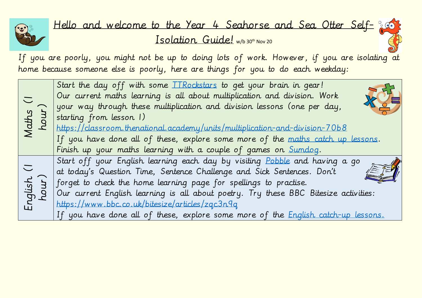

## Hello and welcome to the Year 4 Seahorse and Sea Otter Self-Isolation Guide! W/b 30th Nov 20

If you are poorly, you might not be up to doing lots of work. However, if you are isolating at home because someone else is poorly, here are things for you to do each weekday:

|                                   | Start the day off with some ITRockstars to get your brain in gear!                   |
|-----------------------------------|--------------------------------------------------------------------------------------|
| $\overline{C}$                    | Our current maths learning is all about multiplication and division. Work            |
| Maths<br>hour)                    | your way through these multiplication and division lessons (one per day,             |
|                                   | starting from lesson 1)                                                              |
|                                   | https://classroom.thenational.academy/units/multiplication-and-division-70b8         |
|                                   | If you have done all of these, explore some more of the maths catch up lessons.      |
|                                   | Finish up your maths learning with a couple of games on Sumdog.                      |
| $\overline{C}$<br>English<br>how) | Start off your English learning each day by visiting Pobble and having a go          |
|                                   | at today's Question Time, Sentence Challenge and Sick Sentences. Don't               |
|                                   | forget to check the home learning page for spellings to practise.                    |
|                                   | Our current English learning is all about poetry. Try these BBC Bitesize activities: |
|                                   | https://www.bbc.co.uk/bitesize/articles/zqc3n9q                                      |
|                                   | If you have done all of these, explore some more of the English catch-up lessons.    |